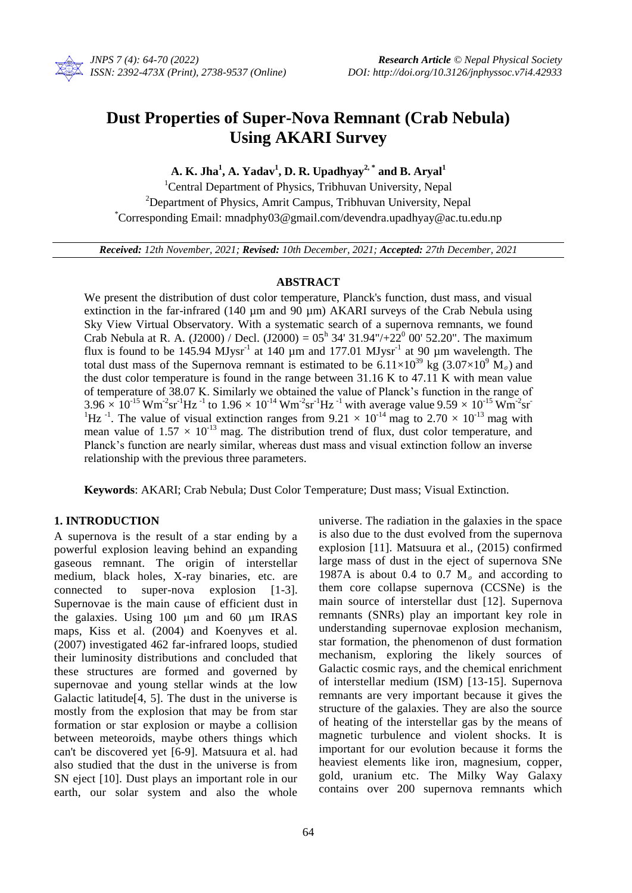

# **Dust Properties of Super-Nova Remnant (Crab Nebula) Using AKARI Survey**

**A. K. Jha<sup>1</sup> , A. Yadav<sup>1</sup> , D. R. Upadhyay2, \* and B. Aryal<sup>1</sup>**

<sup>1</sup>Central Department of Physics, Tribhuvan University, Nepal <sup>2</sup>Department of Physics, Amrit Campus, Tribhuvan University, Nepal \*Corresponding Email: mnadphy03@gmail.com/devendra.upadhyay@ac.tu.edu.np

*Received: 12th November, 2021; Revised: 10th December, 2021; Accepted: 27th December, 2021*

### **ABSTRACT**

We present the distribution of dust color temperature, Planck's function, dust mass, and visual extinction in the far-infrared (140 µm and 90 µm) AKARI surveys of the Crab Nebula using Sky View Virtual Observatory. With a systematic search of a supernova remnants, we found Crab Nebula at R. A. (J2000) / Decl. (J2000) =  $05^h$  34' 31.94"/+22<sup>0</sup> 00' 52.20". The maximum flux is found to be 145.94  $MJysr^{-1}$  at 140 µm and 177.01  $MJysr^{-1}$  at 90 µm wavelength. The total dust mass of the Supernova remnant is estimated to be  $6.11 \times 10^{39}$  kg (3.07×10<sup>9</sup> M<sub>o</sub>) and the dust color temperature is found in the range between 31.16 K to 47.11 K with mean value of temperature of 38.07 K. Similarly we obtained the value of Planck's function in the range of  $3.96 \times 10^{-15}$  Wm<sup>-2</sup>sr<sup>-1</sup>Hz<sup>-1</sup> to  $1.96 \times 10^{-14}$  Wm<sup>-2</sup>sr<sup>-1</sup>Hz<sup>-1</sup> with average value  $9.59 \times 10^{-15}$  Wm<sup>-2</sup>sr<sup>-1</sup> <sup>1</sup>Hz<sup>-1</sup>. The value of visual extinction ranges from 9.21  $\times$  10<sup>-14</sup> mag to 2.70  $\times$  10<sup>-13</sup> mag with mean value of  $1.57 \times 10^{-13}$  mag. The distribution trend of flux, dust color temperature, and Planck's function are nearly similar, whereas dust mass and visual extinction follow an inverse relationship with the previous three parameters.

**Keywords**: AKARI; Crab Nebula; Dust Color Temperature; Dust mass; Visual Extinction.

## **1. INTRODUCTION**

A supernova is the result of a star ending by a powerful explosion leaving behind an expanding gaseous remnant. The origin of interstellar medium, black holes, X-ray binaries, etc. are connected to super-nova explosion [1-3]. Supernovae is the main cause of efficient dust in the galaxies. Using  $100 \mu m$  and  $60 \mu m$  IRAS maps, Kiss et al. (2004) and Koenyves et al. (2007) investigated 462 far-infrared loops, studied their luminosity distributions and concluded that these structures are formed and governed by supernovae and young stellar winds at the low Galactic latitude[4, 5]. The dust in the universe is mostly from the explosion that may be from star formation or star explosion or maybe a collision between meteoroids, maybe others things which can't be discovered yet [6-9]. Matsuura et al. had also studied that the dust in the universe is from SN eject [10]. Dust plays an important role in our earth, our solar system and also the whole

64

universe. The radiation in the galaxies in the space is also due to the dust evolved from the supernova explosion [11]. Matsuura et al., (2015) confirmed large mass of dust in the eject of supernova SNe 1987A is about 0.4 to 0.7  $M_{\circ}$  and according to them core collapse supernova (CCSNe) is the main source of interstellar dust [12]. Supernova remnants (SNRs) play an important key role in understanding supernovae explosion mechanism, star formation, the phenomenon of dust formation mechanism, exploring the likely sources of Galactic cosmic rays, and the chemical enrichment of interstellar medium (ISM) [13-15]. Supernova remnants are very important because it gives the structure of the galaxies. They are also the source of heating of the interstellar gas by the means of magnetic turbulence and violent shocks. It is important for our evolution because it forms the heaviest elements like iron, magnesium, copper, gold, uranium etc. The Milky Way Galaxy contains over 200 supernova remnants which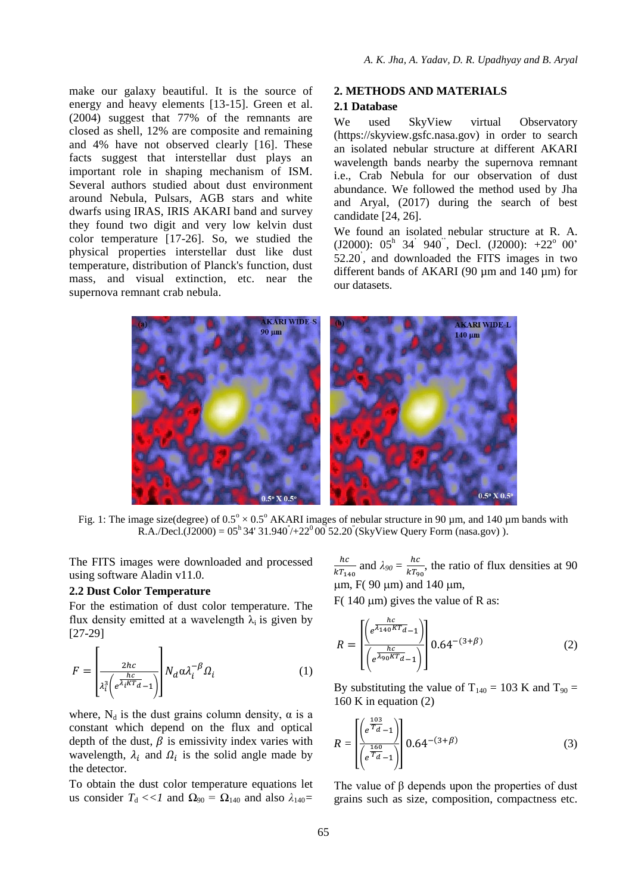make our galaxy beautiful. It is the source of energy and heavy elements [13-15]. Green et al. (2004) suggest that 77% of the remnants are closed as shell, 12% are composite and remaining and 4% have not observed clearly [16]. These facts suggest that interstellar dust plays an important role in shaping mechanism of ISM. Several authors studied about dust environment around Nebula, Pulsars, AGB stars and white dwarfs using IRAS, IRIS AKARI band and survey they found two digit and very low kelvin dust color temperature [17-26]. So, we studied the physical properties interstellar dust like dust temperature, distribution of Planck's function, dust mass, and visual extinction, etc. near the supernova remnant crab nebula.

# **2. METHODS AND MATERIALS**

### **2.1 Database**

We used SkyView virtual Observatory (https://skyview.gsfc.nasa.gov) in order to search an isolated nebular structure at different AKARI wavelength bands nearby the supernova remnant i.e., Crab Nebula for our observation of dust abundance. We followed the method used by Jha and Aryal, (2017) during the search of best candidate [24, 26].

We found an isolated nebular structure at R. A.  $(J2000)$ : 05<sup>h</sup> 34<sup>'</sup> 940<sup>''</sup>, Decl.  $(J2000)$ : +22<sup>°</sup> 00' 52.20' , and downloaded the FITS images in two different bands of AKARI (90 µm and 140 µm) for our datasets.



Fig. 1: The image size(degree) of  $0.5^{\circ} \times 0.5^{\circ}$  AKARI images of nebular structure in 90 µm, and 140 µm bands with R.A./Decl.(J2000) =  $05^{\text{h}}34'31.940'$ /+22<sup>0</sup>00 52.20" (SkyView Query Form (nasa.gov)).

The FITS images were downloaded and processed using software Aladin v11.0.

### **2.2 Dust Color Temperature**

For the estimation of dust color temperature. The flux density emitted at a wavelength  $\lambda_i$  is given by [27-29]

$$
F = \left| \frac{2hc}{\lambda_i^3 \left( e^{\frac{hc}{\lambda_i K T_d}} - 1 \right)} \right| N_d \alpha \lambda_i^{-\beta} \Omega_i \tag{1}
$$

where,  $N_d$  is the dust grains column density,  $\alpha$  is a constant which depend on the flux and optical depth of the dust,  $\beta$  is emissivity index varies with wavelength,  $\lambda_i$  and  $\Omega_i$  is the solid angle made by the detector.

To obtain the dust color temperature equations let us consider  $T_d \ll 1$  and  $\Omega_{90} = \Omega_{140}$  and also  $\lambda_{140} =$ 

 $\boldsymbol{h}$  $rac{hc}{kT_{140}}$  and  $\lambda_{90} = \frac{h}{kT}$  $\frac{hc}{kT_{90}}$ , the ratio of flux densities at 90  $\mu$ m, F(90  $\mu$ m) and 140  $\mu$ m,

F( $140 \mu m$ ) gives the value of R as:

$$
R = \frac{\left[\left(e^{\frac{hc}{\lambda_{140}KT_{d}}-1}\right)}{\left(e^{\frac{hc}{\lambda_{90}KT_{d}}-1}\right)}\right]0.64^{-(3+\beta)}
$$
(2)

By substituting the value of  $T_{140} = 103$  K and  $T_{90} =$ 160 K in equation (2)

$$
R = \frac{\left[ \left( e^{\frac{103}{T_d}} - 1 \right) \right]}{\left( e^{\frac{160}{T_d}} - 1 \right)} 0.64^{-(3+\beta)} \tag{3}
$$

The value of β depends upon the properties of dust grains such as size, composition, compactness etc.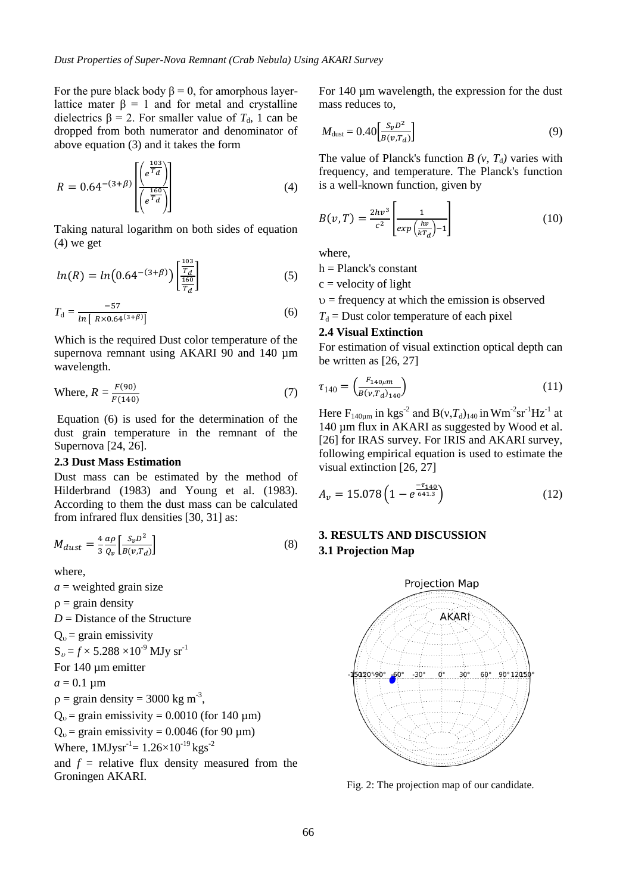For the pure black body  $\beta = 0$ , for amorphous layerlattice mater β = 1 and for metal and crystalline dielectrics  $\beta = 2$ . For smaller value of  $T<sub>d</sub>$ , 1 can be dropped from both numerator and denominator of above equation (3) and it takes the form

$$
R = 0.64^{-(3+\beta)} \left[ \frac{\left( e^{\frac{103}{T_d}} \right)}{\left( e^{\frac{160}{T_d}} \right)} \right] \tag{4}
$$

Taking natural logarithm on both sides of equation (4) we get

$$
ln(R) = ln(0.64^{-(3+\beta)}) \left[ \frac{\frac{103}{T_d}}{\frac{160}{T_d}} \right]
$$
 (5)

$$
T_{\rm d} = \frac{-57}{\ln\left[\right. R \times 0.64^{(3+\beta)}\right]}\tag{6}
$$

Which is the required Dust color temperature of the supernova remnant using AKARI 90 and 140  $\mu$ m wavelength.

Where, 
$$
R = \frac{F(90)}{F(140)}
$$
 (7)

Equation (6) is used for the determination of the dust grain temperature in the remnant of the Supernova [24, 26].

### **2.3 Dust Mass Estimation**

Dust mass can be estimated by the method of Hilderbrand (1983) and Young et al. (1983). According to them the dust mass can be calculated from infrared flux densities [30, 31] as:

$$
M_{dust} = \frac{4}{3} \frac{a\rho}{Q_v} \left[ \frac{S_v D^2}{B(v, T_d)} \right] \tag{8}
$$

where,

 $a$  = weighted grain size  $\rho = \text{grain density}$ *D* = Distance of the Structure

 $Q = \sigma r \sin \theta$  emissivity

$$
Q_0
$$
 = gain emissionity

$$
S_v = f \times 5.288 \times 10^{6} \text{ MJy sr}
$$

For 140 µm emitter

 $a = 0.1 \text{ }\mu\text{m}$ 

$$
\rho = \text{grain density} = 3000 \text{ kg m}^{-3},
$$

$$
Q_0
$$
 = grain emissivity = 0.0010 (for 140 µm)

 $Q<sub>v</sub>$  = grain emissivity = 0.0046 (for 90 µm)

Where,  $1$ MJysr<sup>-1</sup>=  $1.26 \times 10^{-19}$  kgs<sup>-2</sup>

and  $f =$  relative flux density measured from the Groningen AKARI.

For 140 µm wavelength, the expression for the dust mass reduces to,

$$
M_{\text{dust}} = 0.40 \left[ \frac{S_v D^2}{B(v, T_d)} \right] \tag{9}
$$

The value of Planck's function  $B(v, T_d)$  varies with frequency, and temperature. The Planck's function is a well-known function, given by

$$
B(v,T) = \frac{2hv^3}{c^2} \left[ \frac{1}{exp\left(\frac{hv}{kT_d}\right) - 1} \right] \tag{10}
$$

where,

$$
h = Planck's constant
$$

 $c =$  velocity of light

 $v =$  frequency at which the emission is observed

$$
T_d
$$
 = Dust color temperature of each pixel

# **2.4 Visual Extinction**

For estimation of visual extinction optical depth can be written as [26, 27]

$$
\tau_{140} = \left(\frac{F_{140\mu m}}{B(\nu, T_d)_{140}}\right) \tag{11}
$$

Here  $F_{140\mu m}$  in kgs<sup>-2</sup> and B(v, $T_d$ )<sub>140</sub> in Wm<sup>-2</sup>sr<sup>-1</sup>Hz<sup>-1</sup> at 140 µm flux in AKARI as suggested by Wood et al. [26] for IRAS survey. For IRIS and AKARI survey, following empirical equation is used to estimate the visual extinction [26, 27]

$$
A_v = 15.078 \left( 1 - e^{\frac{-\tau_{140}}{641.3}} \right) \tag{12}
$$

# **3. RESULTS AND DISCUSSION 3.1 Projection Map**



Fig. 2: The projection map of our candidate.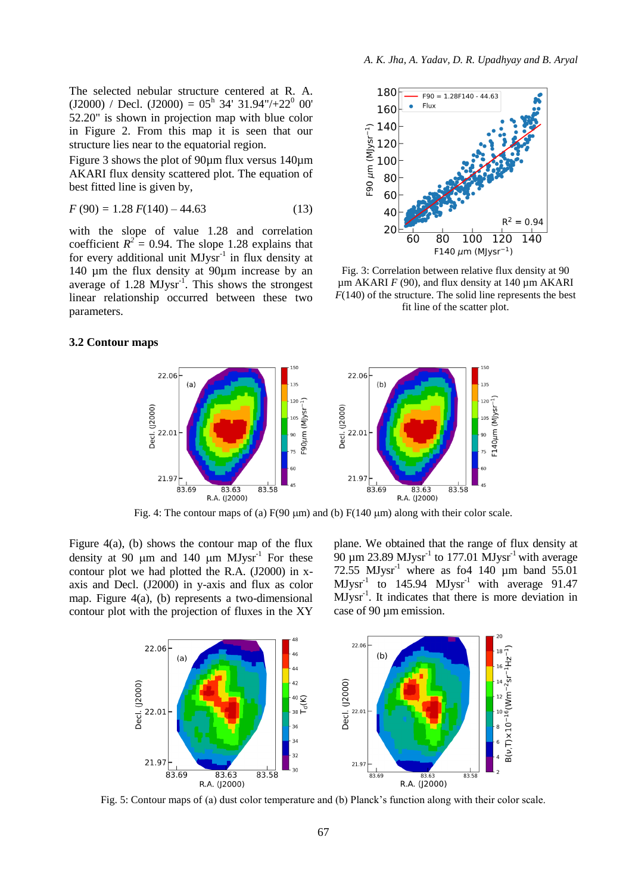The selected nebular structure centered at R. A.  $(J2000)$  / Decl.  $(J2000) = 05<sup>h</sup> 34' 31.94''/+22<sup>0</sup> 00'$ 52.20" is shown in projection map with blue color in Figure 2. From this map it is seen that our structure lies near to the equatorial region.

Figure 3 shows the plot of 90µm flux versus 140µm AKARI flux density scattered plot. The equation of best fitted line is given by,

$$
F(90) = 1.28 F(140) - 44.63
$$
 (13)

with the slope of value 1.28 and correlation coefficient  $R^2 = 0.94$ . The slope 1.28 explains that for every additional unit  $MJysr^{-1}$  in flux density at 140 µm the flux density at 90µm increase by an average of  $1.28 \text{ MJysr}^{-1}$ . This shows the strongest linear relationship occurred between these two parameters.



Fig. 3: Correlation between relative flux density at 90  $\mu$ m AKARI *F* (90), and flux density at 140  $\mu$ m AKARI  $F(140)$  of the structure. The solid line represents the best fit line of the scatter plot.

#### **3.2 Contour maps**



Fig. 4: The contour maps of (a)  $F(90 \mu m)$  and (b)  $F(140 \mu m)$  along with their color scale.

Figure  $4(a)$ , (b) shows the contour map of the flux density at 90  $\mu$ m and 140  $\mu$ m MJysr<sup>-1</sup> For these contour plot we had plotted the R.A. (J2000) in xaxis and Decl. (J2000) in y-axis and flux as color map. Figure 4(a), (b) represents a two-dimensional contour plot with the projection of fluxes in the XY

plane. We obtained that the range of flux density at 90  $\mu$ m 23.89 MJysr<sup>-1</sup> to 177.01 MJysr<sup>-1</sup> with average 72.55  $MJysr<sup>-1</sup>$  where as fo4 140 µm band 55.01  $MJysr<sup>-1</sup>$  to 145.94  $MJysr<sup>-1</sup>$  with average 91.47 MJysr-1 . It indicates that there is more deviation in case of 90 µm emission.



Fig. 5: Contour maps of (a) dust color temperature and (b) Planck's function along with their color scale.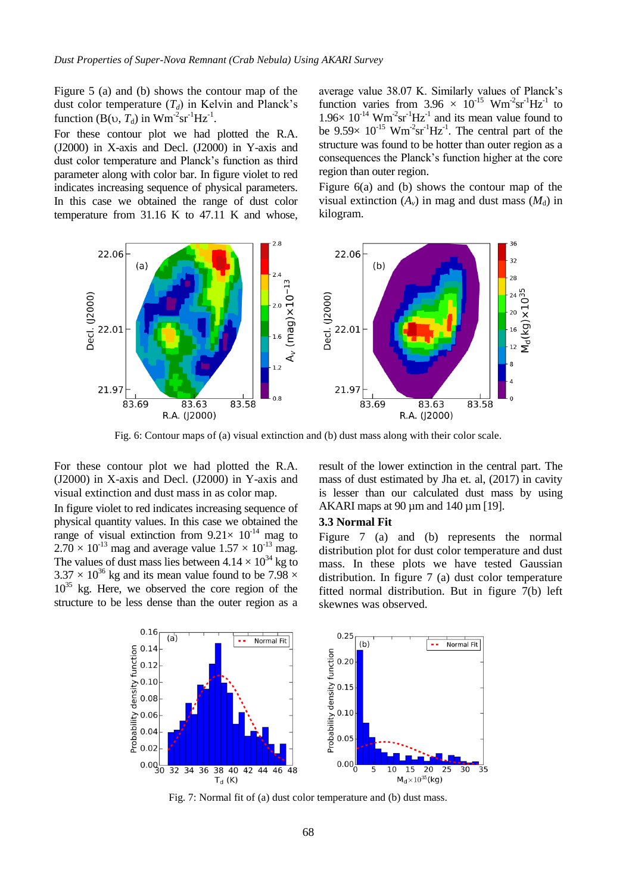Figure 5 (a) and (b) shows the contour map of the dust color temperature  $(T_d)$  in Kelvin and Planck's function (B( $\upsilon$ ,  $T_d$ ) in Wm<sup>-2</sup>sr<sup>-1</sup>Hz<sup>-1</sup>.

For these contour plot we had plotted the R.A. (J2000) in X-axis and Decl. (J2000) in Y-axis and dust color temperature and Planck's function as third parameter along with color bar. In figure violet to red indicates increasing sequence of physical parameters. In this case we obtained the range of dust color temperature from 31.16 K to 47.11 K and whose,

average value 38.07 K. Similarly values of Planck's function varies from  $3.96 \times 10^{-15}$  Wm<sup>-2</sup>sr<sup>-1</sup>Hz<sup>-1</sup> to  $1.96 \times 10^{-14}$  Wm<sup>-2</sup>sr<sup>-1</sup>Hz<sup>-1</sup> and its mean value found to be  $9.59 \times 10^{-15}$  Wm<sup>-2</sup>sr<sup>-1</sup>Hz<sup>-1</sup>. The central part of the structure was found to be hotter than outer region as a consequences the Planck's function higher at the core region than outer region.

Figure 6(a) and (b) shows the contour map of the visual extinction  $(A_v)$  in mag and dust mass  $(M_d)$  in kilogram.



Fig. 6: Contour maps of (a) visual extinction and (b) dust mass along with their color scale.

For these contour plot we had plotted the R.A. (J2000) in X-axis and Decl. (J2000) in Y-axis and visual extinction and dust mass in as color map.

In figure violet to red indicates increasing sequence of physical quantity values. In this case we obtained the range of visual extinction from  $9.21 \times 10^{-14}$  mag to  $2.70 \times 10^{-13}$  mag and average value  $1.57 \times 10^{-13}$  mag. The values of dust mass lies between  $4.14 \times 10^{34}$  kg to  $3.37 \times 10^{36}$  kg and its mean value found to be 7.98  $\times$ 10<sup>35</sup> kg. Here, we observed the core region of the structure to be less dense than the outer region as a

result of the lower extinction in the central part. The mass of dust estimated by Jha et. al, (2017) in cavity is lesser than our calculated dust mass by using AKARI maps at 90 µm and 140 µm [19].

### **3.3 Normal Fit**

Figure 7 (a) and (b) represents the normal distribution plot for dust color temperature and dust mass. In these plots we have tested Gaussian distribution. In figure 7 (a) dust color temperature fitted normal distribution. But in figure 7(b) left skewnes was observed.



Fig. 7: Normal fit of (a) dust color temperature and (b) dust mass.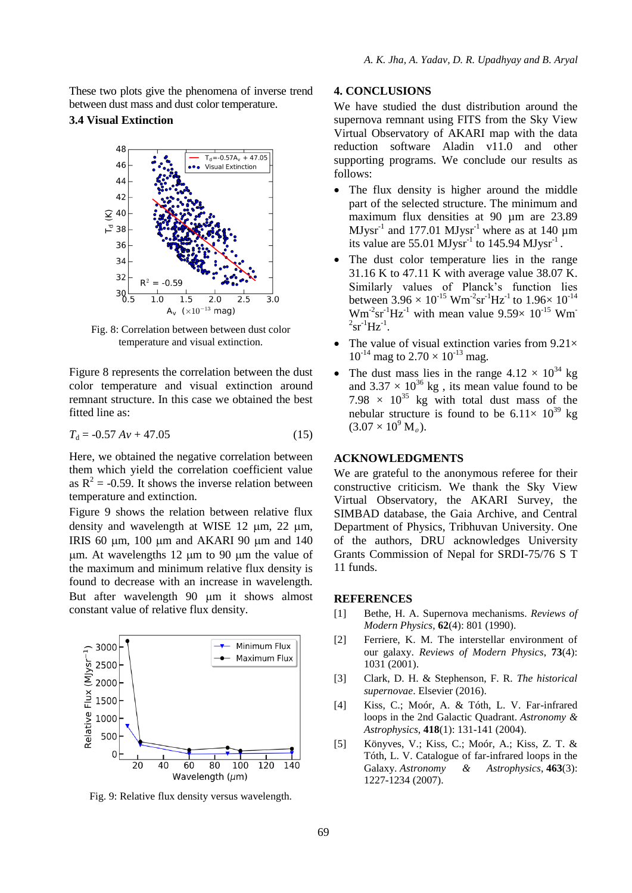These two plots give the phenomena of inverse trend between dust mass and dust color temperature.

### **3.4 Visual Extinction**



Fig. 8: Correlation between between dust color temperature and visual extinction.

Figure 8 represents the correlation between the dust color temperature and visual extinction around remnant structure. In this case we obtained the best fitted line as:

$$
T_{\rm d} = -0.57 \, Av + 47.05\tag{15}
$$

Here, we obtained the negative correlation between them which yield the correlation coefficient value as  $R^2$  = -0.59. It shows the inverse relation between temperature and extinction.

Figure 9 shows the relation between relative flux density and wavelength at WISE 12  $\mu$ m, 22  $\mu$ m, IRIS 60  $\mu$ m, 100  $\mu$ m and AKARI 90  $\mu$ m and 140  $\mu$ m. At wavelengths 12  $\mu$ m to 90  $\mu$ m the value of the maximum and minimum relative flux density is found to decrease with an increase in wavelength. But after wavelength 90  $\mu$ m it shows almost constant value of relative flux density.



Fig. 9: Relative flux density versus wavelength.

### **4. CONCLUSIONS**

We have studied the dust distribution around the supernova remnant using FITS from the Sky View Virtual Observatory of AKARI map with the data reduction software Aladin v11.0 and other supporting programs. We conclude our results as follows:

- The flux density is higher around the middle part of the selected structure. The minimum and maximum flux densities at 90 µm are 23.89  $MJysr<sup>-1</sup>$  and 177.01  $MJysr<sup>-1</sup>$  where as at 140  $\mu$ m its value are  $55.01$  MJysr<sup>-1</sup> to 145.94 MJysr<sup>-1</sup>.
- The dust color temperature lies in the range 31.16 K to 47.11 K with average value 38.07 K. Similarly values of Planck's function lies between  $3.96 \times 10^{-15}$  Wm<sup>-2</sup>sr<sup>-1</sup>Hz<sup>-1</sup> to  $1.96 \times 10^{-14}$  $Wm<sup>-2</sup>sr<sup>-1</sup>Hz<sup>-1</sup>$  with mean value 9.59 $\times$  10<sup>-15</sup> Wm  $2$ sr<sup>-1</sup>Hz<sup>-1</sup>.
- The value of visual extinction varies from  $9.21\times$  $10^{-14}$  mag to  $2.70 \times 10^{-13}$  mag.
- The dust mass lies in the range  $4.12 \times 10^{34}$  kg and  $3.37 \times 10^{36}$  kg, its mean value found to be 7.98  $\times$  10<sup>35</sup> kg with total dust mass of the nebular structure is found to be  $6.11 \times 10^{39}$  kg  $(3.07 \times 10^9 \,\rm M_{\odot})$ .

### **ACKNOWLEDGMENTS**

We are grateful to the anonymous referee for their constructive criticism. We thank the Sky View Virtual Observatory, the AKARI Survey, the SIMBAD database, the Gaia Archive, and Central Department of Physics, Tribhuvan University. One of the authors, DRU acknowledges University Grants Commission of Nepal for SRDI-75/76 S T 11 funds.

### **REFERENCES**

- [1] Bethe, H. A. Supernova mechanisms. *Reviews of Modern Physics*, **62**(4): 801 (1990).
- [2] Ferriere, K. M. The interstellar environment of our galaxy. *Reviews of Modern Physics*, **73**(4): 1031 (2001).
- [3] Clark, D. H. & Stephenson, F. R. *The historical supernovae*. Elsevier (2016).
- [4] Kiss, C.; Moór, A. & Tóth, L. V. Far-infrared loops in the 2nd Galactic Quadrant. *Astronomy & Astrophysics*, **418**(1): 131-141 (2004).
- [5] Könyves, V.; Kiss, C.; Moór, A.; Kiss, Z. T. & Tóth, L. V. Catalogue of far-infrared loops in the Galaxy. *Astronomy & Astrophysics*, **463**(3): 1227-1234 (2007).